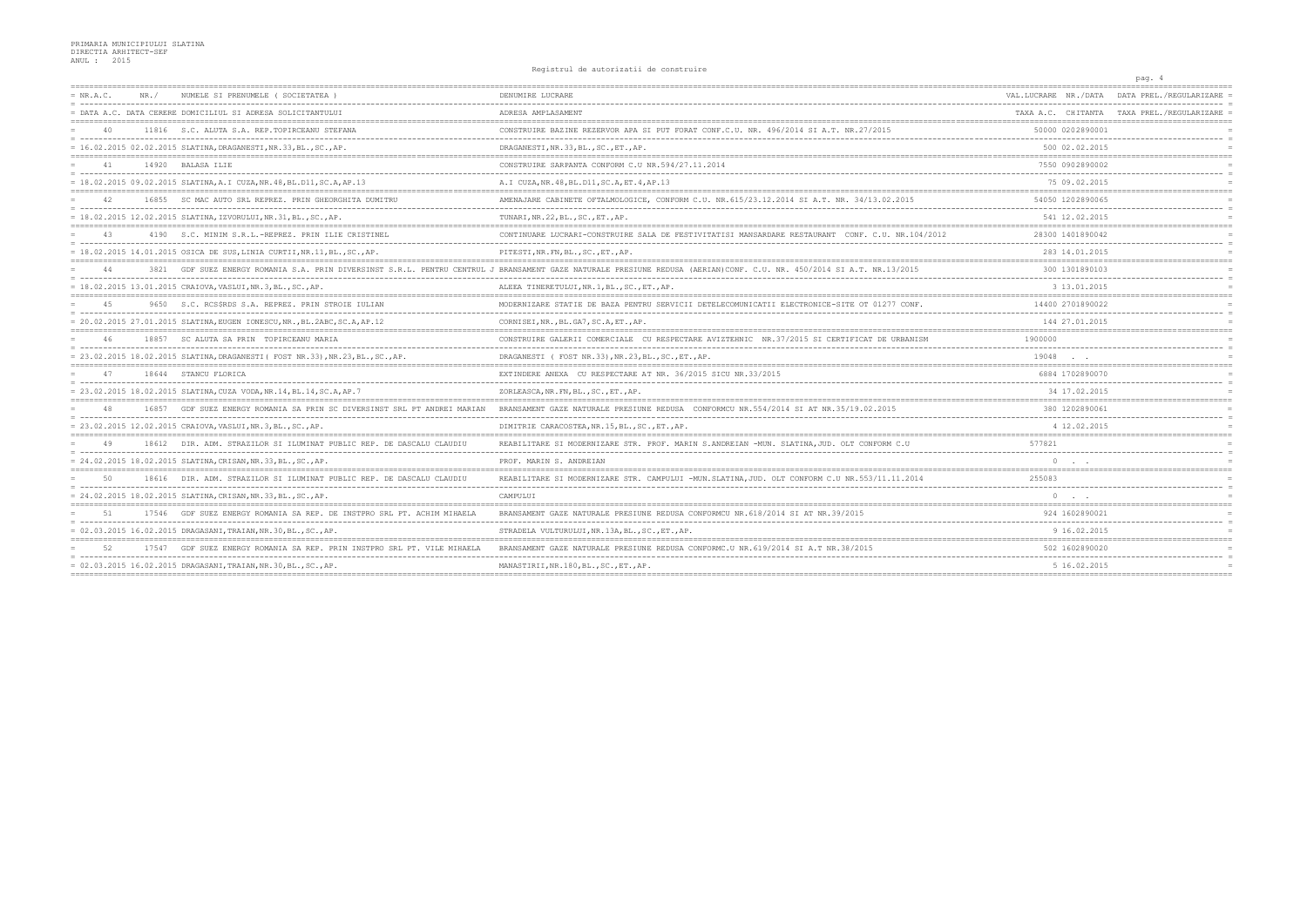## Registrul de autorizatii de construire

|             |       |                                                                                 | nggio di ui de autoiliantii de comptiuli                                                                                                                              |                                     | pag. 4                                     |
|-------------|-------|---------------------------------------------------------------------------------|-----------------------------------------------------------------------------------------------------------------------------------------------------------------------|-------------------------------------|--------------------------------------------|
| $= NR.A.C.$ | NR. / | NUMELE SI PRENUMELE ( SOCIETATEA )                                              | DENUMIRE LUCRARE                                                                                                                                                      | VAL LUCRARE   NR./DATA              | DATA PREL./REGULARIZARE                    |
|             |       | = DATA A.C. DATA CERERE DOMICILIUL SI ADRESA SOLICITANTULUI                     | ADRESA AMPLASAMENT                                                                                                                                                    |                                     | TAXA A.C. CHITANTA TAXA PREL./REGULARIZARE |
| 40          |       | 11816 S.C. ALUTA S.A. REP. TOPIRCEANU STEFANA                                   | CONSTRUIRE BAZINE REZERVOR APA SI PUT FORAT CONF.C.U. NR. 496/2014 SI A.T. NR. 27/2015                                                                                | 50000 0202890001                    |                                            |
|             |       | = 16.02.2015 02.02.2015 SLATINA, DRAGANESTI, NR.33, BL., SC., AP.               | DRAGANESTI, NR. 33, BL., SC., ET., AP.                                                                                                                                | 500 02.02.2015                      |                                            |
| 41          |       | 14920 BALASA ILIE                                                               | CONSTRUIRE SARPANTA CONFORM C.U NR.594/27.11.2014                                                                                                                     | 7550 0902890002                     |                                            |
|             |       | $= 18.02.2015 09.02.2015 SLATINA, A.I CUZA, NR.48, BL.D11, SC.A, AP.13$         | A.I CUZA, NR. 48, BL. D11, SC. A. ET. 4, AP. 13                                                                                                                       | 75 09.02.2015                       |                                            |
|             |       | 16855 SC MAC AUTO SRL REPREZ. PRIN GHEORGHITA DUMITRU                           | AMENAJARE CABINETE OFTALMOLOGICE, CONFORM C.U. NR.615/23.12.2014 SI A.T. NR. 34/13.02.2015                                                                            | 54050 1202890065                    |                                            |
|             |       | $= 18.02.2015 12.02.2015 SLATINA, IZVORULUI, NR.31, BL., SC., AP.$              | TUNARI, NR. 22, BL., SC., ET., AP.                                                                                                                                    | 541 12.02.2015                      |                                            |
| 43          |       | 4190 S.C. MINIM S.R.L.-REPREZ, PRIN ILIE CRISTINEL                              | CONTINUARE LUCRARI-CONSTRUIRE SALA DE FESTIVITATISI MANSARDARE RESTAURANT CONF. C.U. NR.104/2012                                                                      | 28300 1401890042                    |                                            |
|             |       | $= 18.02.2015$ 14.01.2015 OSICA DE SUS.LINIA CURTII.NR.11.BLSCAP.               | PITESTI, NR. FN, BL., SC., ET., AP.                                                                                                                                   | 283 14.01.2015                      |                                            |
| 44          |       |                                                                                 | 3821 GDF SUEZ ENERGY ROMANIA S.A. PRIN DIVERSINST S.R.L. PENTRU CENTRUL J BRANSAMENT GAZE NATURALE PRESIUNE REDUSA (AERIAN)CONF. C.U. NR. 450/2014 SI A.T. NR.13/2015 | 300 1301890103                      |                                            |
|             |       | = 18.02.2015 13.01.2015 CRAIOVA, VASLUI, NR.3, BL., SC., AP.                    | ALEEA TINERETULUI, NR. 1, BL., SC., ET., AP.                                                                                                                          | 3 13.01.2015                        |                                            |
| 4.5         | 9650  | S.C. RCS\$RDS S.A. REPREZ. PRIN STROIE IULIAN                                   | MODERNIZARE STATIE DE BAZA PENTRU SERVICII DETELECOMUNICATII ELECTRONICE-SITE OT 01277 CONF.                                                                          | 14400 2701890022                    |                                            |
|             |       | = 20.02.2015 27.01.2015 SLATINA, EUGEN IONESCU, NR., BL.2ABC, SC.A, AP.12       | CORNISEI, NR., BL. GA7, SC. A, ET., AP.                                                                                                                               | 144 27.01.2015                      |                                            |
| 46          | 18857 | SC ALUTA SA PRIN TOPIRCEANU MARIA                                               | CONSTRUIRE GALERII COMERCIALE CU RESPECTARE AVIZTEHNIC NR.37/2015 SI CERTIFICAT DE URBANISM                                                                           | 1900000                             |                                            |
|             |       | = 23.02.2015 18.02.2015 SLATINA, DRAGANESTI ( FOST NR.33), NR.23, BL., SC., AP. | DRAGANESTI ( FOST NR.33), NR.23, BL., SC., ET., AP.                                                                                                                   | 19048                               |                                            |
| 47          |       | 18644 STANCU FLORICA                                                            | EXTINDERE ANEXA CU RESPECTARE AT NR. 36/2015 SICU NR.33/2015                                                                                                          | 6884 1702890070                     |                                            |
|             |       | $= 23.02.2015$ 18.02.2015 SLATINA, CUZA VODA, NR.14, BL.14, SC.A, AP.7          | ZORLEASCA, NR. FN, BL., SC., ET., AP.                                                                                                                                 | 34 17.02.2015                       |                                            |
|             | 16857 | GDF SUEZ ENERGY ROMANIA SA PRIN SC DIVERSINST SRL PT ANDREI MARIAN              | BRANSAMENT GAZE NATURALE PRESIUNE REDUSA CONFORMCU NR.554/2014 SI AT NR.35/19.02.2015                                                                                 | 380 1202890061                      |                                            |
|             |       | = 23.02.2015 12.02.2015 CRAIOVA, VASLUI, NR.3, BL., SC., AP.                    | DIMITRIE CARACOSTEA, NR.15, BL., SC., ET., AP.                                                                                                                        | 4 12.02.2015                        |                                            |
| 49          |       | 18612 DIR. ADM. STRAZILOR SI ILUMINAT PUBLIC REP. DE DASCALU CLAUDIU            | REABILITARE SI MODERNIZARE STR. PROF. MARIN S.ANDREIAN -MUN. SLATINA, JUD. OLT CONFORM C.U                                                                            | 577821                              |                                            |
|             |       | = 24.02.2015 18.02.2015 SLATINA, CRISAN, NR.33, BL., SC., AP.                   | PROF. MARIN S. ANDREIAN                                                                                                                                               | $\circ$                             |                                            |
| 50          |       | 18616 DIR. ADM. STRAZILOR SI ILUMINAT PUBLIC REP. DE DASCALU CLAUDIU            | REABILITARE SI MODERNIZARE STR. CAMPULUI -MUN. SLATINA, JUD. OLT CONFORM C.U NR. 553/11.11.2014                                                                       | 255083                              |                                            |
|             |       | = 24.02.2015 18.02.2015 SLATINA, CRISAN, NR.33, BL., SC., AP.                   | CAMPULUI                                                                                                                                                              | $\Omega$                            |                                            |
| .51         | 17546 | GDF SUEZ ENERGY ROMANIA SA REP. DE INSTPRO SRL PT. ACHIM MIHAELA                | BRANSAMENT GAZE NATURALE PRESIUNE REDUSA CONFORMCU NR. 618/2014 SI AT NR. 39/2015                                                                                     | 924 1602890021                      |                                            |
|             |       | $= 02.03.2015 16.02.2015 DRAGASANI, TRAIAN, NR.30, BL., SC., AP.$               | STRADELA VULTURULUI, NR. 13A, BL., SC., ET., AP.                                                                                                                      | 9 16.02.2015                        |                                            |
|             |       | GDF SUEZ ENERGY ROMANIA SA REP. PRIN INSTPRO SRL                                | BRANSAMENT GAZE NATURALE PRESIUNE REDUSA CONFORMC U NR 619/2014                                                                                                       | 502 1602890020                      |                                            |
|             |       | $= 02.03.2015 16.02.2015 DRAGASANI, TRAIAN, NR.30, BL., SC., AP.$               | MANASTIRII, NR.180, BL., SC., ET., AP.                                                                                                                                | 5 16.02.2015<br>------------------- |                                            |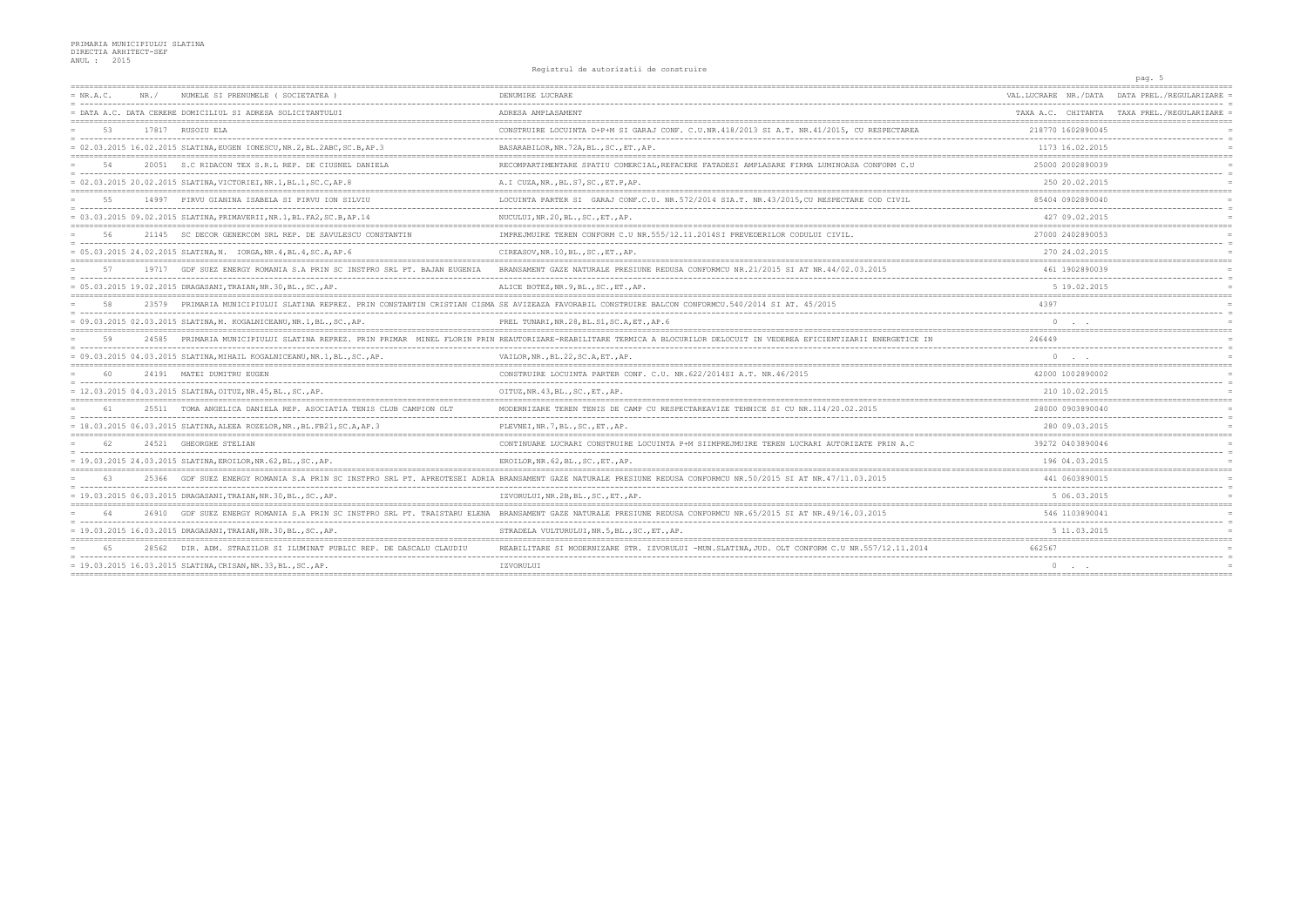## Registrul de autorizatii de construire

|             |       |                                                                           | nggiorai de autorizacia de comperair                                                                                                                               |                       | pag. 5                                     |
|-------------|-------|---------------------------------------------------------------------------|--------------------------------------------------------------------------------------------------------------------------------------------------------------------|-----------------------|--------------------------------------------|
| $= NR.A.C.$ | NR. / | NUMELE SI PRENUMELE ( SOCIETATEA                                          | DENUMIRE LUCRARE                                                                                                                                                   | VAL.LUCRARE NR./DATA  | DATA PREL./REGULARIZARE                    |
|             |       | = DATA A.C. DATA CERERE DOMICILIUL SI ADRESA SOLICITANTULUI               | ADRESA AMPLASAMENT                                                                                                                                                 |                       | TAXA A.C. CHITANTA TAXA PREL./REGULARIZARE |
| 53          |       | 17817 RUSOIU ELA                                                          | CONSTRUIRE LOCUINTA D+P+M SI GARAJ CONF. C.U.NR.418/2013 SI A.T. NR.41/2015, CU RESPECTAREA                                                                        | 218770 1602890045     |                                            |
|             |       | = 02.03.2015 16.02.2015 SLATINA, EUGEN IONESCU, NR.2, BL.2ABC, SC.B, AP.3 | BASARABILOR, NR. 72A, BL., SC., ET., AP.                                                                                                                           | 1173 16.02.2015       |                                            |
| .54         |       | 20051 S.C RIDACON TEX S.R.L REP. DE CIUSNEL DANIELA                       | RECOMPARTIMENTARE SPATIU COMERCIAL, REFACERE FATADESI AMPLASARE FIRMA LUMINOASA CONFORM C.U                                                                        | 25000 2002890039      |                                            |
|             |       | = 02.03.2015 20.02.2015 SLATINA, VICTORIEI, NR.1, BL.1, SC.C, AP.8        | A.I CUZA, NR., BL. S7, SC., ET. P, AP.                                                                                                                             | 250 20.02.2015        |                                            |
| $55 -$      |       | 14997 PIRVU GIANINA ISABELA SI PIRVU ION SILVIU                           | LOCUINTA PARTER SI GARAJ CONF.C.U. NR. 572/2014 SIA.T. NR. 43/2015, CU RESPECTARE COD CIVIL                                                                        | 85404 0902890040      |                                            |
|             |       | = 03.03.2015 09.02.2015 SLATINA, PRIMAVERII, NR.1, BL.FA2, SC.B, AP.14    | NUCULUI, NR.20, BL., SC., ET., AP.                                                                                                                                 | 427 09.02.2015        |                                            |
| 56          |       | 21145 SC DECOR GENERCOM SRL REP. DE SAVULESCU CONSTANTIN                  | IMPREJMUIRE TEREN CONFORM C.U NR.555/12.11.2014SI PREVEDERILOR CODULUI CIVIL.                                                                                      | 27000 2402890053      |                                            |
|             |       | = 05.03.2015 24.02.2015 SLATINA, N. IORGA, NR.4, BL.4, SC.A, AP.6         | CIREASOV, NR.10, BL., SC., ET., AP.                                                                                                                                | 270 24.02.2015        |                                            |
| 57          |       | 19717 GDF SUEZ ENERGY ROMANIA S.A PRIN SC INSTPRO SRL PT. BAJAN EUGENIA   | BRANSAMENT GAZE NATURALE PRESIUNE REDUSA CONFORMCU NR.21/2015 SI AT NR.44/02.03.2015                                                                               | 461 1902890039        |                                            |
|             |       | = 05.03.2015 19.02.2015 DRAGASANI,TRAIAN,NR.30,BL.,SC.,AP.                | ALICE BOTEZ, NR. 9, BL., SC., ET., AP.                                                                                                                             | 5 19.02.2015          |                                            |
| 58          |       |                                                                           | 23579 PRIMARIA MUNICIPIULUI SLATINA REPREZ. PRIN CONSTANTIN CRISTIAN CISMA SE AVIZEAZA FAVORABIL CONSTRUIRE BALCON CONFORMCU.540/2014 SI AT. 45/2015               | 4397                  |                                            |
|             |       | = 09.03.2015 02.03.2015 SLATINA, M. KOGALNICEANU, NR.1, BL., SC., AP.     | PREL TUNARI, NR. 28, BL. S1, SC. A, ET., AP. 6                                                                                                                     |                       |                                            |
| 59          | 24585 |                                                                           | PRIMARIA MUNICIPIULUI SLATINA REPREZ. PRIN PRIMAR MINEL FLORIN PRIN REAUTORIZARE-REABILITARE TERMICA A BLOCURILOR DELOCUIT IN VEDEREA EFICIENTIZARII ENERGETICE IN | 246449                |                                            |
|             |       | = 09.03.2015 04.03.2015 SLATINA, MIHAIL KOGALNICEANU, NR.1, BL., SC., AP. | VAILOR, NR., BL. 22, SC. A, ET., AP.                                                                                                                               | $\circ$               |                                            |
|             |       | 24191 MATEI DUMITRU EUGEN                                                 | CONSTRUIRE LOCUINTA PARTER CONF. C.U. NR.622/2014SI A.T. NR.46/2015                                                                                                | 42000 1002890002      |                                            |
|             |       | $= 12.03.2015 04.03.2015 SLATINA, OTTUZ, NR.45, BL., SC., AP.$            | OITUZ, NR. 43, BL., SC., ET., AP.                                                                                                                                  | 210 10.02.2015        |                                            |
| 61          |       | 25511 TOMA ANGELICA DANIELA REP. ASOCIATIA TENIS CLUB CAMPION OLT         | MODERNIZARE TEREN TENIS DE CAMP CU RESPECTAREAVIZE TEHNICE SI CU NR.114/20.02.2015                                                                                 | 28000 0903890040      |                                            |
|             |       | = 18.03.2015 06.03.2015 SLATINA, ALEEA ROZELOR, NR., BL. FB21, SC.A, AP.3 | PLEVNEI, NR. 7, BL., SC., ET., AP.                                                                                                                                 | 280 09.03.2015        |                                            |
| 62          |       | 24521 GHEORGHE STELIAN                                                    | CONTINUARE LUCRARI CONSTRUIRE LOCUINTA P+M SIIMPREJMUIRE TEREN LUCRARI AUTORIZATE PRIN A.C                                                                         | 39272 0403890046      |                                            |
|             |       | = 19.03.2015 24.03.2015 SLATINA, EROILOR, NR.62, BL., SC., AP.            | EROILOR, NR. 62, BL., SC., ET., AP.                                                                                                                                | 196 04.03.2015        |                                            |
| 63          | 25366 |                                                                           | GDF SUEZ ENERGY ROMANIA S.A PRIN SC INSTPRO SRL PT. APREOTESEI ADRIA BRANSAMENT GAZE NATURALE PRESIUNE REDUSA CONFORMCU NR.50/2015 SI AT NR.47/11.03.2015          | 441 0603890015        |                                            |
|             |       | = 19.03.2015 06.03.2015 DRAGASANI, TRAIAN, NR.30, BL., SC., AP.           | IZVORULUI, NR.2B, BL., SC., ET., AP.                                                                                                                               | 5 06.03.2015          |                                            |
| 64          | 26910 | GDF SUEZ ENERGY ROMANIA S.A PRIN SC INSTPRO SRL PT. TRAISTARU ELENA       | BRANSAMENT GAZE NATURALE PRESIUNE REDUSA CONFORMCU NR. 65/2015 SI AT NR. 49/16.03.2015                                                                             | 546 1103890041        |                                            |
|             |       | = 19.03.2015 16.03.2015 DRAGASANI, TRAIAN, NR.30, BL., SC., AP.           | STRADELA VULTURULUI, NR. 5, BL., SC., ET., AP.                                                                                                                     | 5 11.03.2015          |                                            |
|             |       | 28562 DIR. ADM. STRAZILOR SI ILUMINAT PUBLIC REP. DE DASCALU CLAUDIU      | REABILITARE SI MODERNIZARE STR. IZVORULUI -MUN.SLATINA.JUD. OLT CONFORM C.U NR.557/12.11.2014                                                                      | 662567                |                                            |
|             |       | = 19.03.2015 16.03.2015 SLATINA, CRISAN, NR.33, BL., SC., AP.             | IZVORULUI                                                                                                                                                          | $0 \qquad . \qquad .$ |                                            |